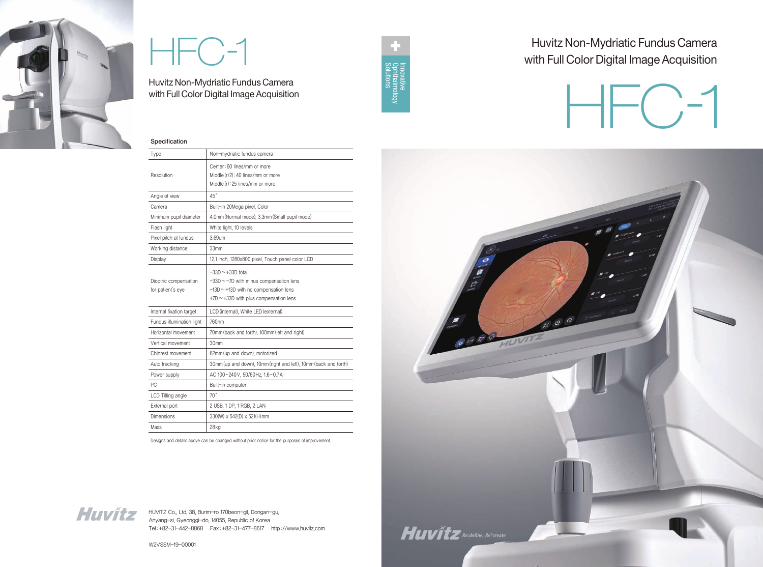HUVITZ Co., Ltd. 38, Burim-ro 170beon-gil, Dongan-gu, Anyang-si, Gyeonggi-do, 14055, Republic of Korea Tel :+82-31-442-8868 Fax :+82-31-477-8617 http ://www.huvitz.com

W2VSSM-19-00001





# HFC-1

Huvitz Non-Mydriatic Fundus Camera with Full Color Digital Image Acquisition

## Huvitz Non-Mydriatic Fundus Camera with Full Color Digital Image Acquisition







#### Specification

| <b>Type</b>                                | Non-mydriatic fundus camera                                                                                                                                    |
|--------------------------------------------|----------------------------------------------------------------------------------------------------------------------------------------------------------------|
| Resolution                                 | Center: 60 lines/mm or more<br>Middle (r/2): 40 lines/mm or more<br>Middle (r): 25 lines/mm or more                                                            |
| Angle of view                              | $45^{\circ}$                                                                                                                                                   |
| Camera                                     | Built-in 20Mega pixel, Color                                                                                                                                   |
| Minimum pupil diameter                     | 4.0mm (Normal mode), 3.3mm (Small pupil mode)                                                                                                                  |
| Flash light                                | White light, 10 levels                                                                                                                                         |
| Pixel pitch at fundus                      | 3.69um                                                                                                                                                         |
| Working distance                           | 33mm                                                                                                                                                           |
| Display                                    | 12.1 inch, 1280x800 pixel, Touch panel color LCD                                                                                                               |
| Dioptric compensation<br>for patient's eye | $-33D \sim +33D$ total<br>$-33D \sim -7D$ with minus compensation lens<br>$-13D \sim +13D$ with no compensation lens<br>+7D ~ +33D with plus compensation lens |
| Internal fixation target                   | LCD (internal), White LED (external)                                                                                                                           |
| Fundus illumination light                  | 760nm                                                                                                                                                          |
| Horizontal movement                        | 70mm (back and forth), 100mm (left and right)                                                                                                                  |
| Vertical movement                          | 30mm                                                                                                                                                           |
| Chinrest movement                          | 62mm (up and down), motorized                                                                                                                                  |
| Auto tracking                              | 30mm (up and down), 10mm (right and left), 10mm (back and forth)                                                                                               |
| Power supply                               | AC 100-240V, 50/60Hz, 1.6-0.7A                                                                                                                                 |
| PC                                         | Built-in computer                                                                                                                                              |
| LCD Tilting angle                          | 70°                                                                                                                                                            |
| External port                              | 2 USB, 1 DP, 1 RGB, 2 LAN                                                                                                                                      |
| Dimensions                                 | 330(W) x 542(D) x 521(H) mm                                                                                                                                    |
| Mass                                       | 28kg                                                                                                                                                           |

Designs and details above can be changed without prior notice for the purposes of improvement.